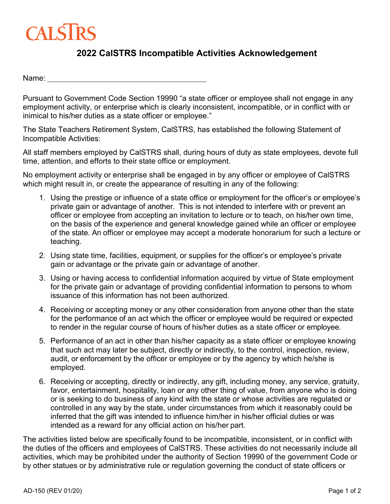# **CALSTRS**

## **2022 CalSTRS Incompatible Activities Acknowledgement**

Name:

 employment activity, or enterprise which is clearly inconsistent, incompatible, or in conflict with or Pursuant to Government Code Section 19990 "a state officer or employee shall not engage in any inimical to his/her duties as a state officer or employee."

The State Teachers Retirement System, CalSTRS, has established the following Statement of Incompatible Activities:

 time, attention, and efforts to their state office or employment. All staff members employed by CalSTRS shall, during hours of duty as state employees, devote full

No employment activity or enterprise shall be engaged in by any officer or employee of CalSTRS which might result in, or create the appearance of resulting in any of the following:

- private gain or advantage of another. This is not intended to interfere with or prevent an of the state. An officer or employee may accept a moderate honorarium for such a lecture or 1. Using the prestige or influence of a state office or employment for the officer's or employee's officer or employee from accepting an invitation to lecture or to teach, on his/her own time, on the basis of the experience and general knowledge gained while an officer or employee teaching.
- gain or advantage or the private gain or advantage of another. 2. Using state time, facilities, equipment, or supplies for the officer's or employee's private
- issuance of this information has not been authorized. 3. Using or having access to confidential information acquired by virtue of State employment for the private gain or advantage of providing confidential information to persons to whom
- to render in the regular course of hours of his/her duties as a state officer or employee. 4. Receiving or accepting money or any other consideration from anyone other than the state for the performance of an act which the officer or employee would be required or expected
- 5. Performance of an act in other than his/her capacity as a state officer or employee knowing that such act may later be subject, directly or indirectly, to the control, inspection, review, audit, or enforcement by the officer or employee or by the agency by which he/she is employed.
- or is seeking to do business of any kind with the state or whose activities are regulated or intended as a reward for any official action on his/her part. 6. Receiving or accepting, directly or indirectly, any gift, including money, any service, gratuity, favor, entertainment, hospitality, loan or any other thing of value, from anyone who is doing controlled in any way by the state, under circumstances from which it reasonably could be inferred that the gift was intended to influence him/her in his/her official duties or was

The activities listed below are specifically found to be incompatible, inconsistent, or in conflict with the duties of the officers and employees of CalSTRS. These activities do not necessarily include all activities, which may be prohibited under the authority of Section 19990 of the government Code or by other statues or by administrative rule or regulation governing the conduct of state officers or